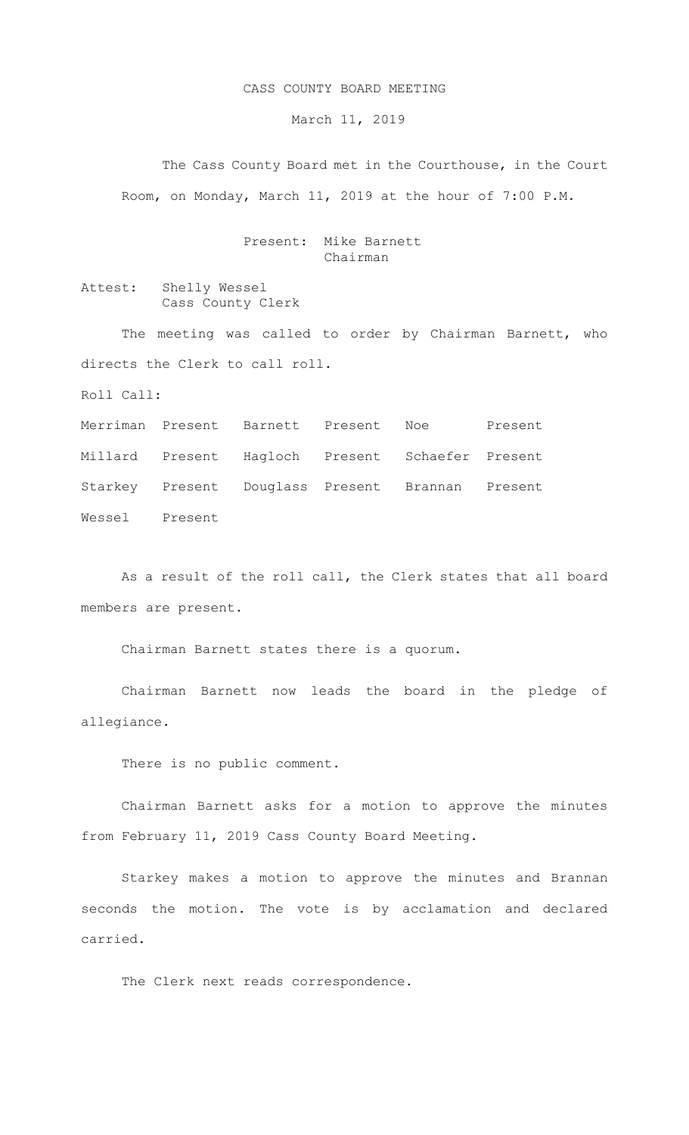## CASS COUNTY BOARD MEETING

March 11, 2019

The Cass County Board met in the Courthouse, in the Court Room, on Monday, March 11, 2019 at the hour of 7:00 P.M.

## Present: Mike Barnett Chairman

Attest: Shelly Wessel Cass County Clerk

The meeting was called to order by Chairman Barnett, who directs the Clerk to call roll.

Roll Call:

Merriman Present Barnett Present Noe Present Millard Present Hagloch Present Schaefer Present Starkey Present Douglass Present Brannan Present Wessel Present

As a result of the roll call, the Clerk states that all board members are present.

Chairman Barnett states there is a quorum.

Chairman Barnett now leads the board in the pledge of allegiance.

There is no public comment.

Chairman Barnett asks for a motion to approve the minutes from February 11, 2019 Cass County Board Meeting.

Starkey makes a motion to approve the minutes and Brannan seconds the motion. The vote is by acclamation and declared carried.

The Clerk next reads correspondence.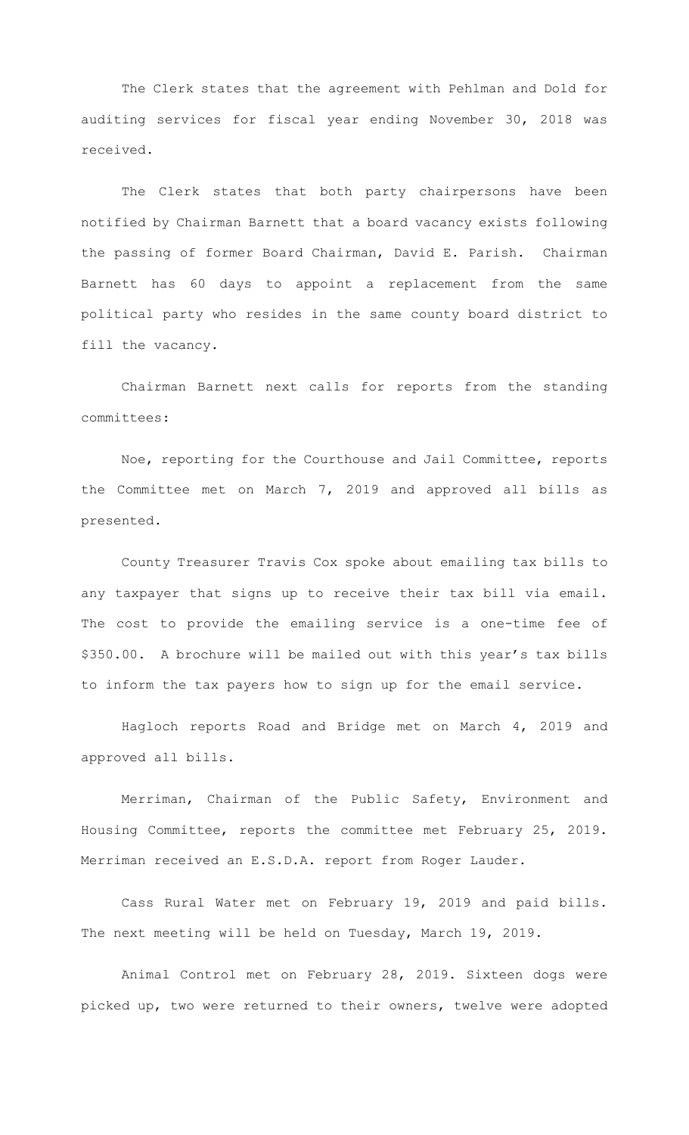The Clerk states that the agreement with Pehlman and Dold for auditing services for fiscal year ending November 30, 2018 was received.

The Clerk states that both party chairpersons have been notified by Chairman Barnett that a board vacancy exists following the passing of former Board Chairman, David E. Parish. Chairman Barnett has 60 days to appoint a replacement from the same political party who resides in the same county board district to fill the vacancy.

Chairman Barnett next calls for reports from the standing committees:

Noe, reporting for the Courthouse and Jail Committee, reports the Committee met on March 7, 2019 and approved all bills as presented.

County Treasurer Travis Cox spoke about emailing tax bills to any taxpayer that signs up to receive their tax bill via email. The cost to provide the emailing service is a one-time fee of \$350.00. A brochure will be mailed out with this year's tax bills to inform the tax payers how to sign up for the email service.

Hagloch reports Road and Bridge met on March 4, 2019 and approved all bills.

 Merriman, Chairman of the Public Safety, Environment and Housing Committee, reports the committee met February 25, 2019. Merriman received an E.S.D.A. report from Roger Lauder.

Cass Rural Water met on February 19, 2019 and paid bills. The next meeting will be held on Tuesday, March 19, 2019.

Animal Control met on February 28, 2019. Sixteen dogs were picked up, two were returned to their owners, twelve were adopted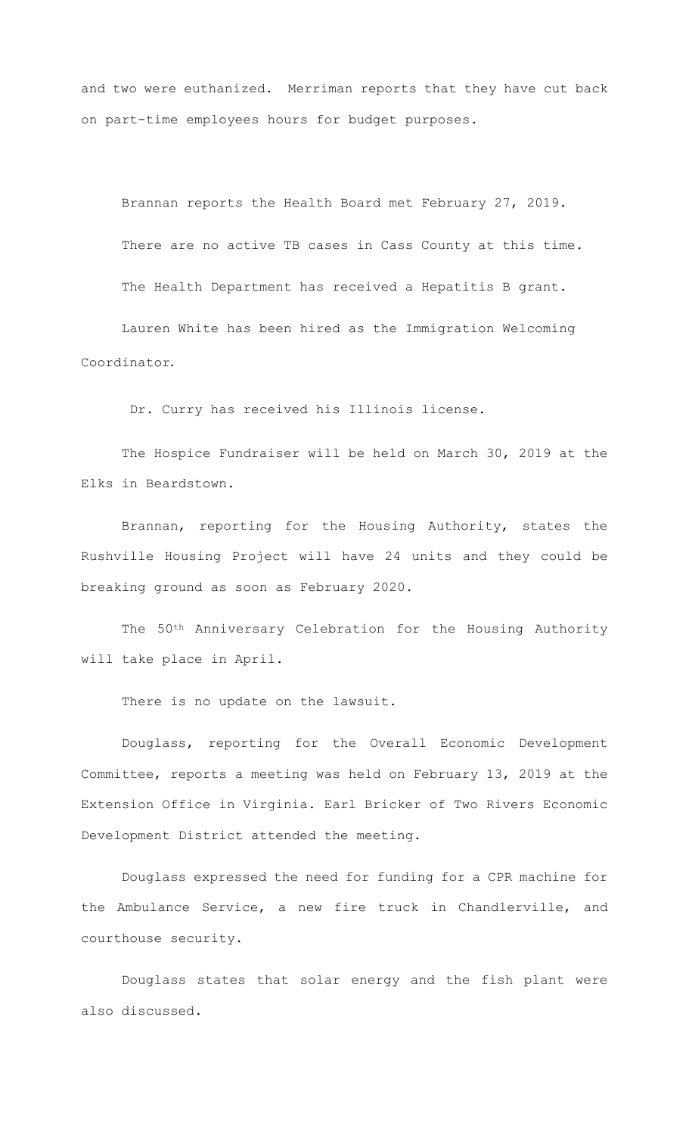and two were euthanized. Merriman reports that they have cut back on part-time employees hours for budget purposes.

Brannan reports the Health Board met February 27, 2019.

There are no active TB cases in Cass County at this time.

The Health Department has received a Hepatitis B grant.

Lauren White has been hired as the Immigration Welcoming Coordinator.

Dr. Curry has received his Illinois license.

The Hospice Fundraiser will be held on March 30, 2019 at the Elks in Beardstown.

Brannan, reporting for the Housing Authority, states the Rushville Housing Project will have 24 units and they could be breaking ground as soon as February 2020.

The 50th Anniversary Celebration for the Housing Authority will take place in April.

There is no update on the lawsuit.

Douglass, reporting for the Overall Economic Development Committee, reports a meeting was held on February 13, 2019 at the Extension Office in Virginia. Earl Bricker of Two Rivers Economic Development District attended the meeting.

Douglass expressed the need for funding for a CPR machine for the Ambulance Service, a new fire truck in Chandlerville, and courthouse security.

Douglass states that solar energy and the fish plant were also discussed.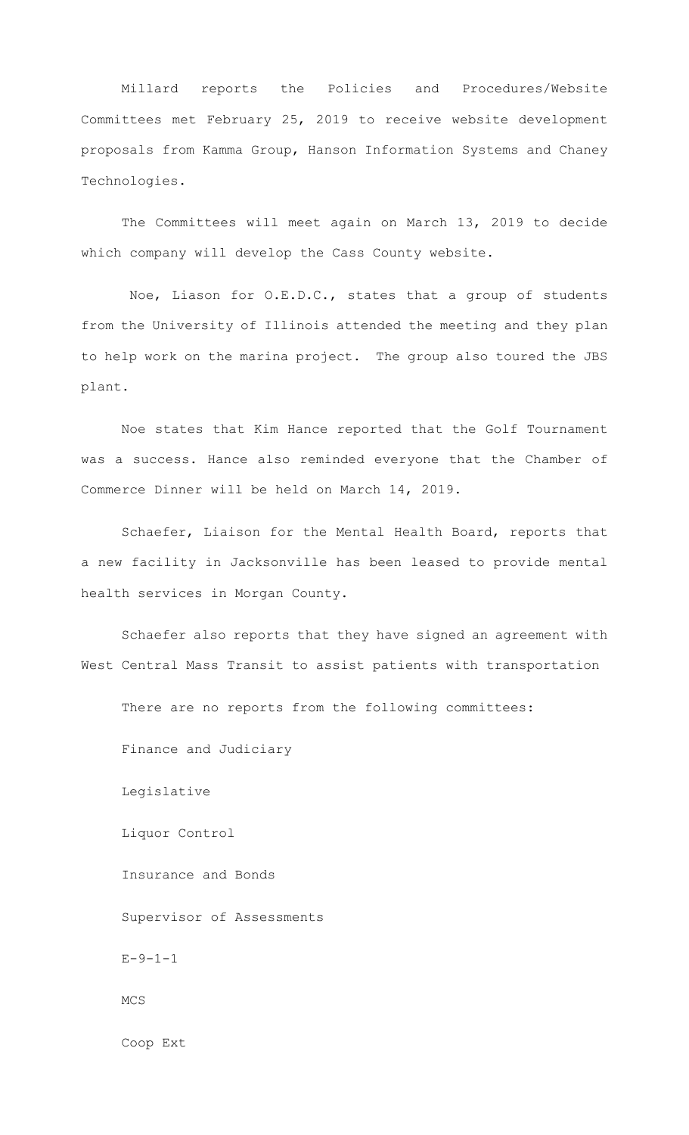Millard reports the Policies and Procedures/Website Committees met February 25, 2019 to receive website development proposals from Kamma Group, Hanson Information Systems and Chaney Technologies.

The Committees will meet again on March 13, 2019 to decide which company will develop the Cass County website.

Noe, Liason for O.E.D.C., states that a group of students from the University of Illinois attended the meeting and they plan to help work on the marina project. The group also toured the JBS plant.

Noe states that Kim Hance reported that the Golf Tournament was a success. Hance also reminded everyone that the Chamber of Commerce Dinner will be held on March 14, 2019.

Schaefer, Liaison for the Mental Health Board, reports that a new facility in Jacksonville has been leased to provide mental health services in Morgan County.

Schaefer also reports that they have signed an agreement with West Central Mass Transit to assist patients with transportation

There are no reports from the following committees:

Finance and Judiciary

Legislative

Liquor Control

Insurance and Bonds

Supervisor of Assessments

 $E - 9 - 1 - 1$ 

MCS

Coop Ext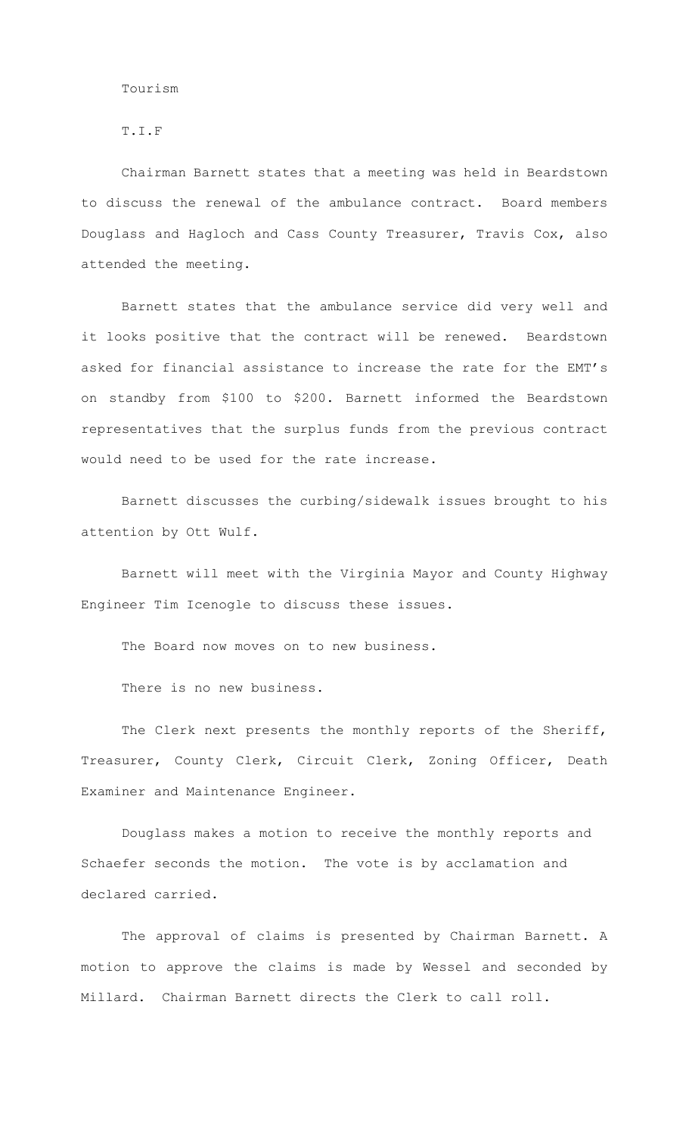## T.I.F

Chairman Barnett states that a meeting was held in Beardstown to discuss the renewal of the ambulance contract. Board members Douglass and Hagloch and Cass County Treasurer, Travis Cox, also attended the meeting.

Barnett states that the ambulance service did very well and it looks positive that the contract will be renewed. Beardstown asked for financial assistance to increase the rate for the EMT's on standby from \$100 to \$200. Barnett informed the Beardstown representatives that the surplus funds from the previous contract would need to be used for the rate increase.

Barnett discusses the curbing/sidewalk issues brought to his attention by Ott Wulf.

Barnett will meet with the Virginia Mayor and County Highway Engineer Tim Icenogle to discuss these issues.

The Board now moves on to new business.

There is no new business.

The Clerk next presents the monthly reports of the Sheriff, Treasurer, County Clerk, Circuit Clerk, Zoning Officer, Death Examiner and Maintenance Engineer.

Douglass makes a motion to receive the monthly reports and Schaefer seconds the motion. The vote is by acclamation and declared carried.

The approval of claims is presented by Chairman Barnett. A motion to approve the claims is made by Wessel and seconded by Millard. Chairman Barnett directs the Clerk to call roll.